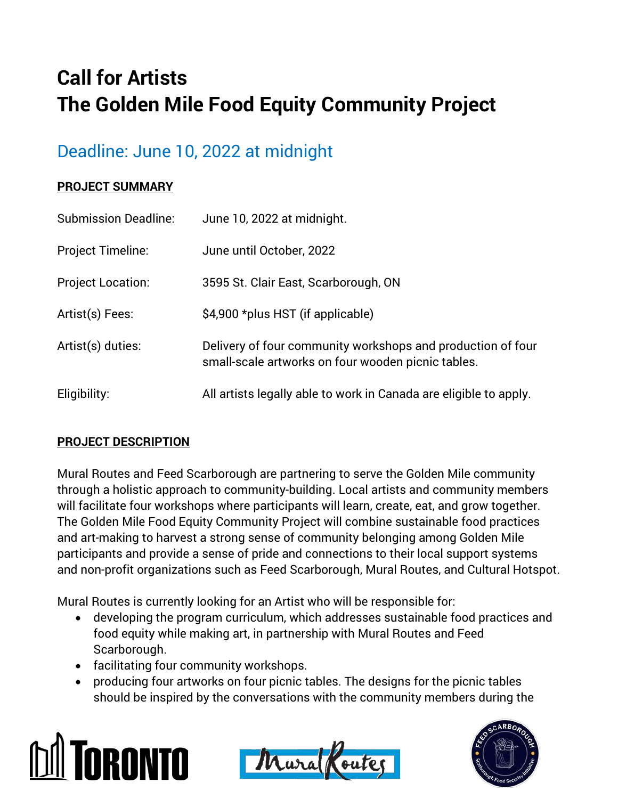# **Call for Artists The Golden Mile Food Equity Community Project**

## Deadline: June 10, 2022 at midnight

#### **PROJECT SUMMARY**

| <b>Submission Deadline:</b> | June 10, 2022 at midnight.                                                                                        |
|-----------------------------|-------------------------------------------------------------------------------------------------------------------|
| <b>Project Timeline:</b>    | June until October, 2022                                                                                          |
| <b>Project Location:</b>    | 3595 St. Clair East, Scarborough, ON                                                                              |
| Artist(s) Fees:             | \$4,900 *plus HST (if applicable)                                                                                 |
| Artist(s) duties:           | Delivery of four community workshops and production of four<br>small-scale artworks on four wooden picnic tables. |
| Eligibility:                | All artists legally able to work in Canada are eligible to apply.                                                 |

#### **PROJECT DESCRIPTION**

Mural Routes and Feed Scarborough are partnering to serve the Golden Mile community through a holistic approach to community-building. Local artists and community members will facilitate four workshops where participants will learn, create, eat, and grow together. The Golden Mile Food Equity Community Project will combine sustainable food practices and art-making to harvest a strong sense of community belonging among Golden Mile participants and provide a sense of pride and connections to their local support systems and non-profit organizations such as Feed Scarborough, Mural Routes, and Cultural Hotspot.

Mural Routes is currently looking for an Artist who will be responsible for:

- developing the program curriculum, which addresses sustainable food practices and food equity while making art, in partnership with Mural Routes and Feed Scarborough.
- facilitating four community workshops.
- producing four artworks on four picnic tables. The designs for the picnic tables should be inspired by the conversations with the community members during the





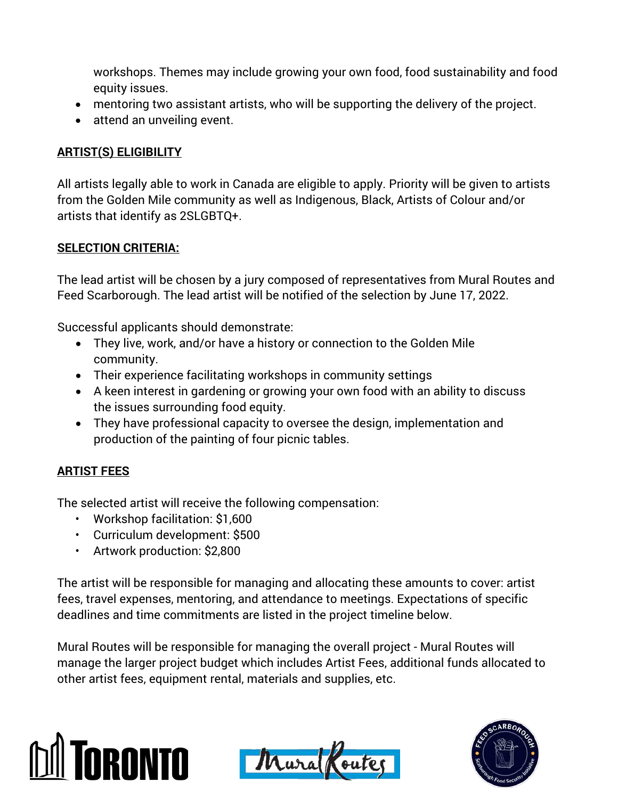workshops. Themes may include growing your own food, food sustainability and food equity issues.

- mentoring two assistant artists, who will be supporting the delivery of the project.
- attend an unveiling event.

### **ARTIST(S) ELIGIBILITY**

All artists legally able to work in Canada are eligible to apply. Priority will be given to artists from the Golden Mile community as well as Indigenous, Black, Artists of Colour and/or artists that identify as 2SLGBTQ+.

#### **SELECTION CRITERIA:**

The lead artist will be chosen by a jury composed of representatives from Mural Routes and Feed Scarborough. The lead artist will be notified of the selection by June 17, 2022.

Successful applicants should demonstrate:

- They live, work, and/or have a history or connection to the Golden Mile community.
- Their experience facilitating workshops in community settings
- A keen interest in gardening or growing your own food with an ability to discuss the issues surrounding food equity.
- They have professional capacity to oversee the design, implementation and production of the painting of four picnic tables.

### **ARTIST FEES**

The selected artist will receive the following compensation:

- Workshop facilitation: \$1,600
- Curriculum development: \$500
- Artwork production: \$2,800

The artist will be responsible for managing and allocating these amounts to cover: artist fees, travel expenses, mentoring, and attendance to meetings. Expectations of specific deadlines and time commitments are listed in the project timeline below.

Mural Routes will be responsible for managing the overall project - Mural Routes will manage the larger project budget which includes Artist Fees, additional funds allocated to other artist fees, equipment rental, materials and supplies, etc.





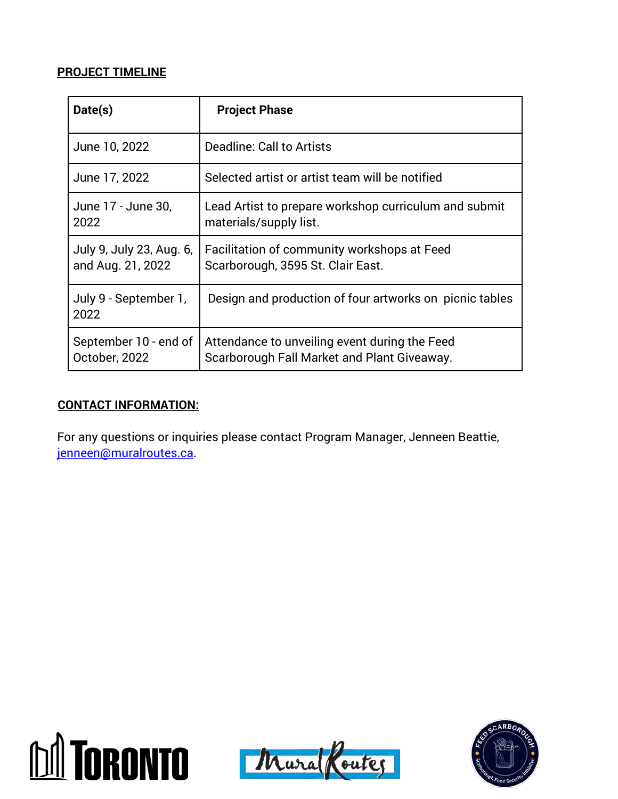#### **PROJECT TIMELINE**

| Date(s)                                       | <b>Project Phase</b>                                                                         |
|-----------------------------------------------|----------------------------------------------------------------------------------------------|
| June 10, 2022                                 | Deadline: Call to Artists                                                                    |
| June 17, 2022                                 | Selected artist or artist team will be notified                                              |
| June 17 - June 30,<br>2022                    | Lead Artist to prepare workshop curriculum and submit<br>materials/supply list.              |
| July 9, July 23, Aug. 6,<br>and Aug. 21, 2022 | Facilitation of community workshops at Feed<br>Scarborough, 3595 St. Clair East.             |
| July 9 - September 1,<br>2022                 | Design and production of four artworks on picnic tables                                      |
| September 10 - end of<br>October, 2022        | Attendance to unveiling event during the Feed<br>Scarborough Fall Market and Plant Giveaway. |

#### **CONTACT INFORMATION:**

For any questions or inquiries please contact Program Manager, Jenneen Beattie, [jenneen@muralroutes.ca.](mailto:jenneen@muralroutes.ca)